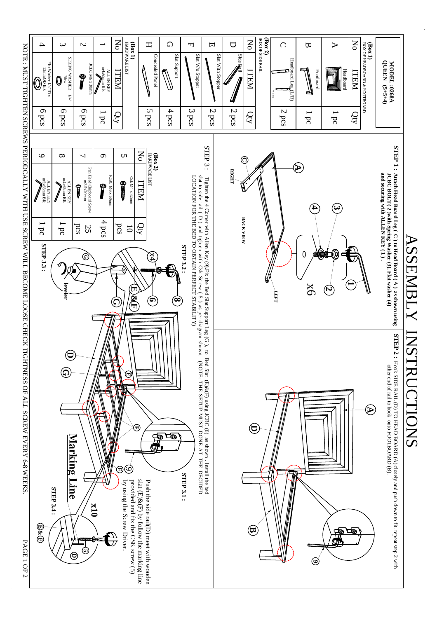